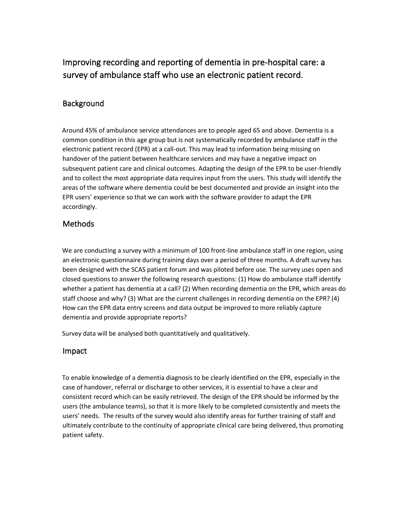Improving recording and reporting of dementia in pre-hospital care: a survey of ambulance staff who use an electronic patient record.

### **Background**

Around 45% of ambulance service attendances are to people aged 65 and above. Dementia is a common condition in this age group but is not systematically recorded by ambulance staff in the electronic patient record (EPR) at a call-out. This may lead to information being missing on handover of the patient between healthcare services and may have a negative impact on subsequent patient care and clinical outcomes. Adapting the design of the EPR to be user-friendly and to collect the most appropriate data requires input from the users. This study will identify the areas of the software where dementia could be best documented and provide an insight into the EPR users' experience so that we can work with the software provider to adapt the EPR accordingly.

## Methods

We are conducting a survey with a minimum of 100 front-line ambulance staff in one region, using an electronic questionnaire during training days over a period of three months. A draft survey has been designed with the SCAS patient forum and was piloted before use. The survey uses open and closed questions to answer the following research questions: (1) How do ambulance staff identify whether a patient has dementia at a call? (2) When recording dementia on the EPR, which areas do staff choose and why? (3) What are the current challenges in recording dementia on the EPR? (4) How can the EPR data entry screens and data output be improved to more reliably capture dementia and provide appropriate reports?

Survey data will be analysed both quantitatively and qualitatively.

#### Impact

To enable knowledge of a dementia diagnosis to be clearly identified on the EPR, especially in the case of handover, referral or discharge to other services, it is essential to have a clear and consistent record which can be easily retrieved. The design of the EPR should be informed by the users (the ambulance teams), so that it is more likely to be completed consistently and meets the users' needs. The results of the survey would also identify areas for further training of staff and ultimately contribute to the continuity of appropriate clinical care being delivered, thus promoting patient safety.